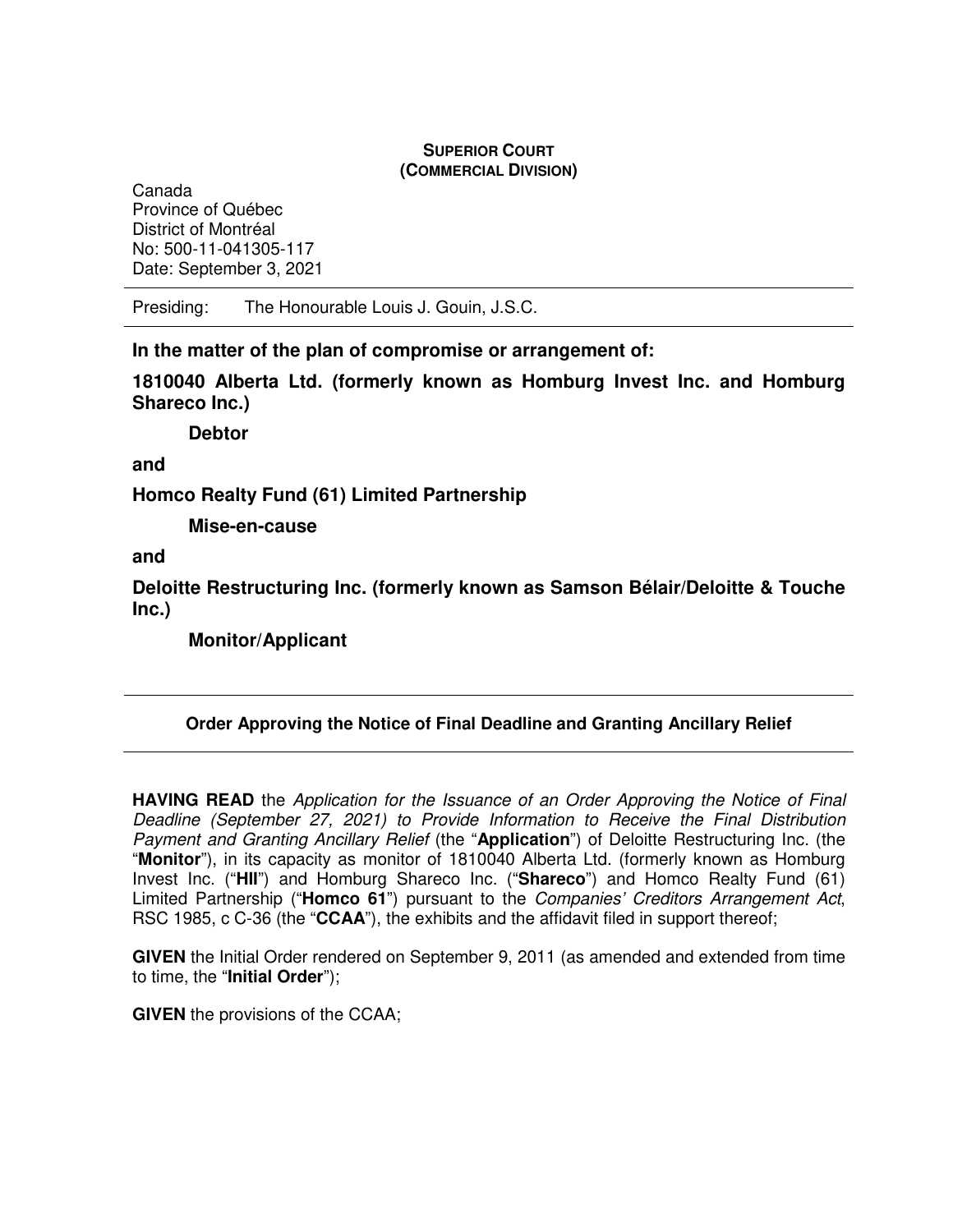## **SUPERIOR COURT (COMMERCIAL DIVISION)**

Canada Province of Québec District of Montréal No: 500-11-041305-117 Date: September 3, 2021

Presiding: The Honourable Louis J. Gouin, J.S.C.

**In the matter of the plan of compromise or arrangement of:** 

**1810040 Alberta Ltd. (formerly known as Homburg Invest Inc. and Homburg Shareco Inc.)** 

 **Debtor** 

**and** 

**Homco Realty Fund (61) Limited Partnership** 

 **Mise-en-cause** 

**and** 

**Deloitte Restructuring Inc. (formerly known as Samson Bélair/Deloitte & Touche Inc.)** 

 **Monitor/Applicant** 

# **Order Approving the Notice of Final Deadline and Granting Ancillary Relief**

**HAVING READ** the Application for the Issuance of an Order Approving the Notice of Final Deadline (September 27, 2021) to Provide Information to Receive the Final Distribution Payment and Granting Ancillary Relief (the "**Application**") of Deloitte Restructuring Inc. (the "**Monitor**"), in its capacity as monitor of 1810040 Alberta Ltd. (formerly known as Homburg Invest Inc. ("**HII**") and Homburg Shareco Inc. ("**Shareco**") and Homco Realty Fund (61) Limited Partnership ("**Homco 61**") pursuant to the Companies' Creditors Arrangement Act, RSC 1985, c C-36 (the "**CCAA**"), the exhibits and the affidavit filed in support thereof;

**GIVEN** the Initial Order rendered on September 9, 2011 (as amended and extended from time to time, the "**Initial Order**");

**GIVEN** the provisions of the CCAA;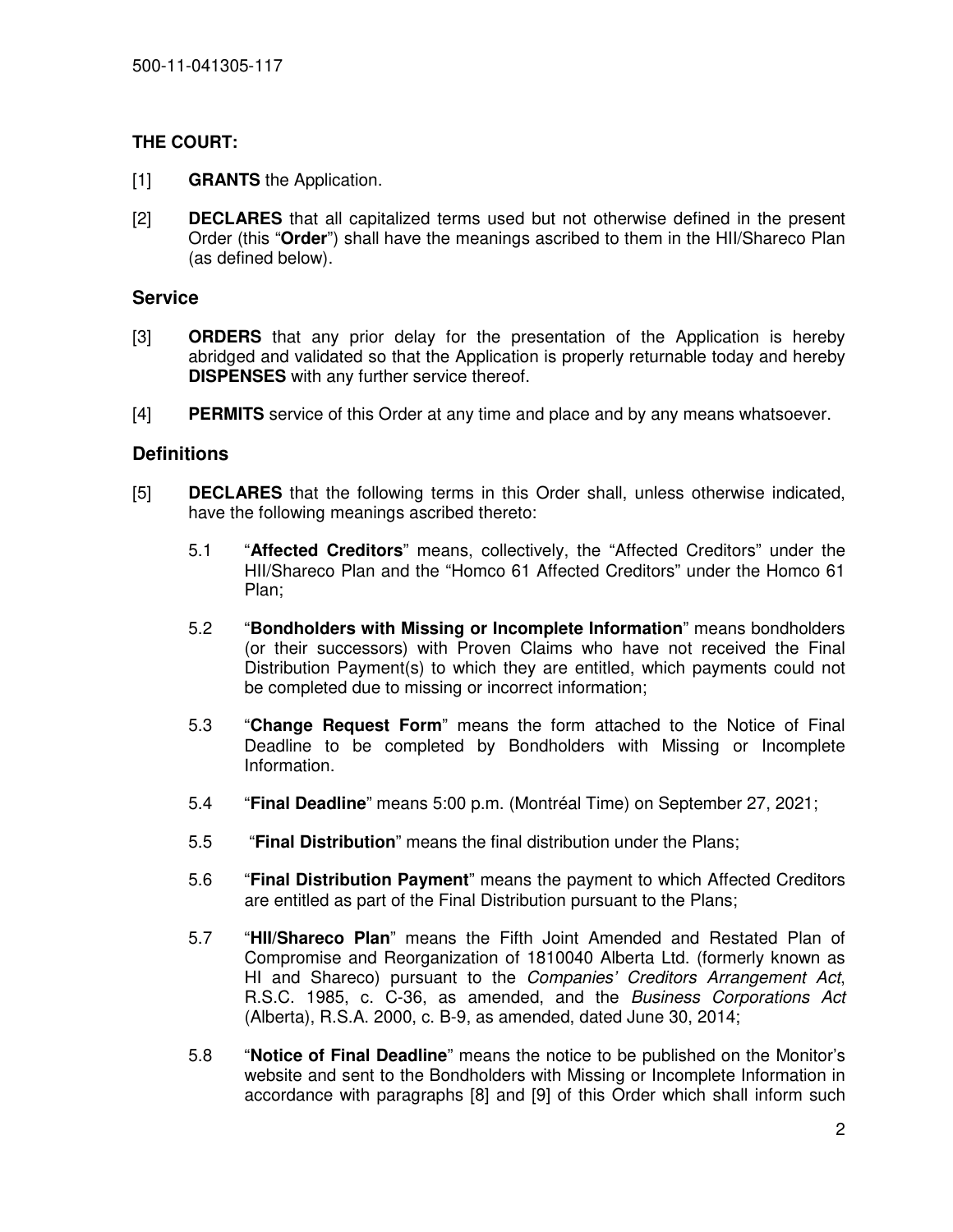## **THE COURT:**

- [1] **GRANTS** the Application.
- [2] **DECLARES** that all capitalized terms used but not otherwise defined in the present Order (this "**Order**") shall have the meanings ascribed to them in the HII/Shareco Plan (as defined below).

## **Service**

- [3] **ORDERS** that any prior delay for the presentation of the Application is hereby abridged and validated so that the Application is properly returnable today and hereby **DISPENSES** with any further service thereof.
- [4] **PERMITS** service of this Order at any time and place and by any means whatsoever.

### **Definitions**

- [5] **DECLARES** that the following terms in this Order shall, unless otherwise indicated, have the following meanings ascribed thereto:
	- 5.1 "**Affected Creditors**" means, collectively, the "Affected Creditors" under the HII/Shareco Plan and the "Homco 61 Affected Creditors" under the Homco 61 Plan;
	- 5.2 "**Bondholders with Missing or Incomplete Information**" means bondholders (or their successors) with Proven Claims who have not received the Final Distribution Payment(s) to which they are entitled, which payments could not be completed due to missing or incorrect information;
	- 5.3 "**Change Request Form**" means the form attached to the Notice of Final Deadline to be completed by Bondholders with Missing or Incomplete Information.
	- 5.4 "**Final Deadline**" means 5:00 p.m. (Montréal Time) on September 27, 2021;
	- 5.5 "**Final Distribution**" means the final distribution under the Plans;
	- 5.6 "**Final Distribution Payment**" means the payment to which Affected Creditors are entitled as part of the Final Distribution pursuant to the Plans;
	- 5.7 "**HII/Shareco Plan**" means the Fifth Joint Amended and Restated Plan of Compromise and Reorganization of 1810040 Alberta Ltd. (formerly known as HI and Shareco) pursuant to the Companies' Creditors Arrangement Act, R.S.C. 1985, c. C-36, as amended, and the Business Corporations Act (Alberta), R.S.A. 2000, c. B-9, as amended, dated June 30, 2014;
	- 5.8 "**Notice of Final Deadline**" means the notice to be published on the Monitor's website and sent to the Bondholders with Missing or Incomplete Information in accordance with paragraphs [8] and [9] of this Order which shall inform such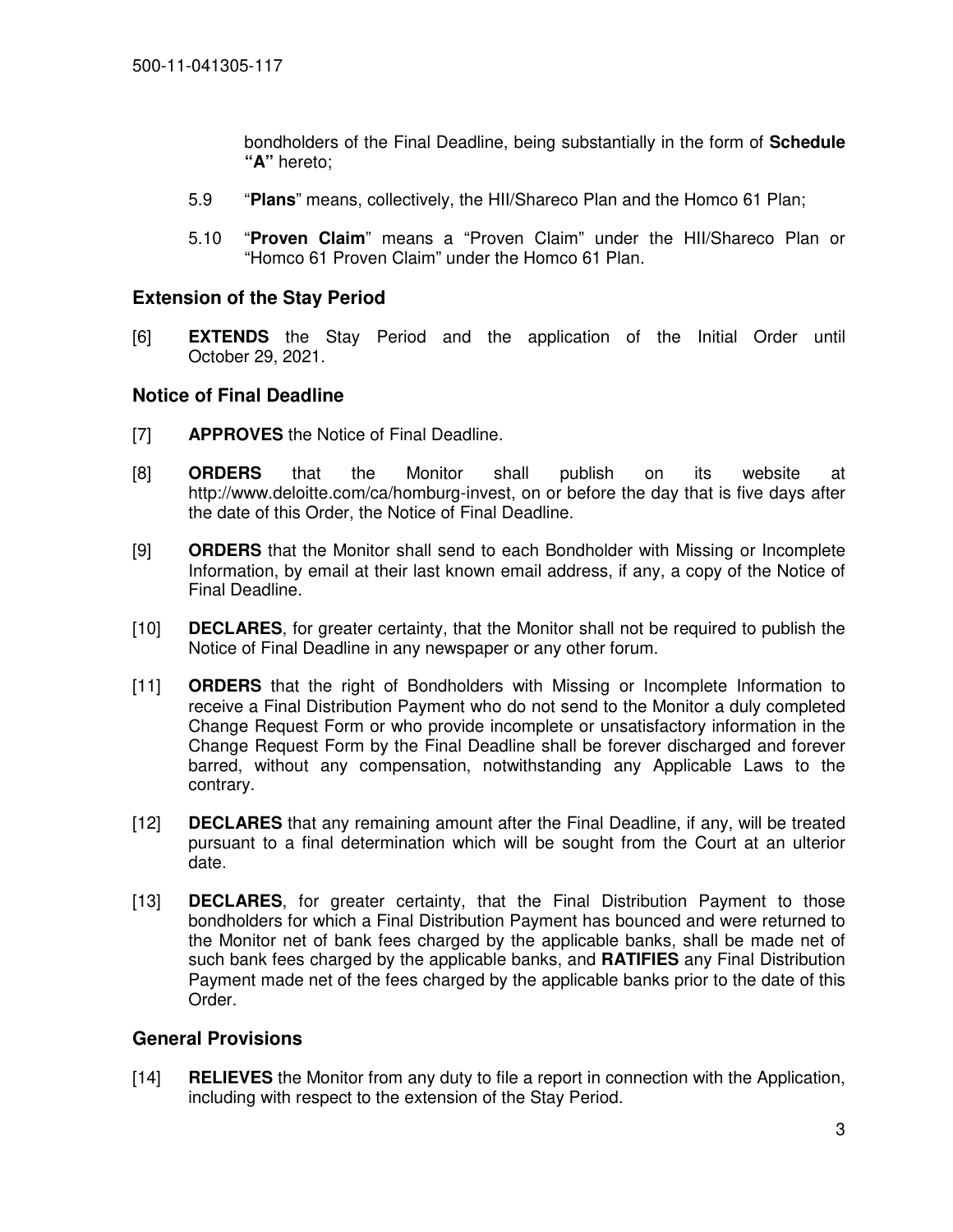bondholders of the Final Deadline, being substantially in the form of **Schedule "A"** hereto;

- 5.9 "**Plans**" means, collectively, the HII/Shareco Plan and the Homco 61 Plan;
- 5.10 "**Proven Claim**" means a "Proven Claim" under the HII/Shareco Plan or "Homco 61 Proven Claim" under the Homco 61 Plan.

### **Extension of the Stay Period**

[6] **EXTENDS** the Stay Period and the application of the Initial Order until October 29, 2021.

### **Notice of Final Deadline**

- [7] **APPROVES** the Notice of Final Deadline.
- [8] **ORDERS** that the Monitor shall publish on its website at http://www.deloitte.com/ca/homburg-invest, on or before the day that is five days after the date of this Order, the Notice of Final Deadline.
- [9] **ORDERS** that the Monitor shall send to each Bondholder with Missing or Incomplete Information, by email at their last known email address, if any, a copy of the Notice of Final Deadline.
- [10] **DECLARES**, for greater certainty, that the Monitor shall not be required to publish the Notice of Final Deadline in any newspaper or any other forum.
- [11] **ORDERS** that the right of Bondholders with Missing or Incomplete Information to receive a Final Distribution Payment who do not send to the Monitor a duly completed Change Request Form or who provide incomplete or unsatisfactory information in the Change Request Form by the Final Deadline shall be forever discharged and forever barred, without any compensation, notwithstanding any Applicable Laws to the contrary.
- [12] **DECLARES** that any remaining amount after the Final Deadline, if any, will be treated pursuant to a final determination which will be sought from the Court at an ulterior date.
- [13] **DECLARES**, for greater certainty, that the Final Distribution Payment to those bondholders for which a Final Distribution Payment has bounced and were returned to the Monitor net of bank fees charged by the applicable banks, shall be made net of such bank fees charged by the applicable banks, and **RATIFIES** any Final Distribution Payment made net of the fees charged by the applicable banks prior to the date of this Order.

## **General Provisions**

[14] **RELIEVES** the Monitor from any duty to file a report in connection with the Application, including with respect to the extension of the Stay Period.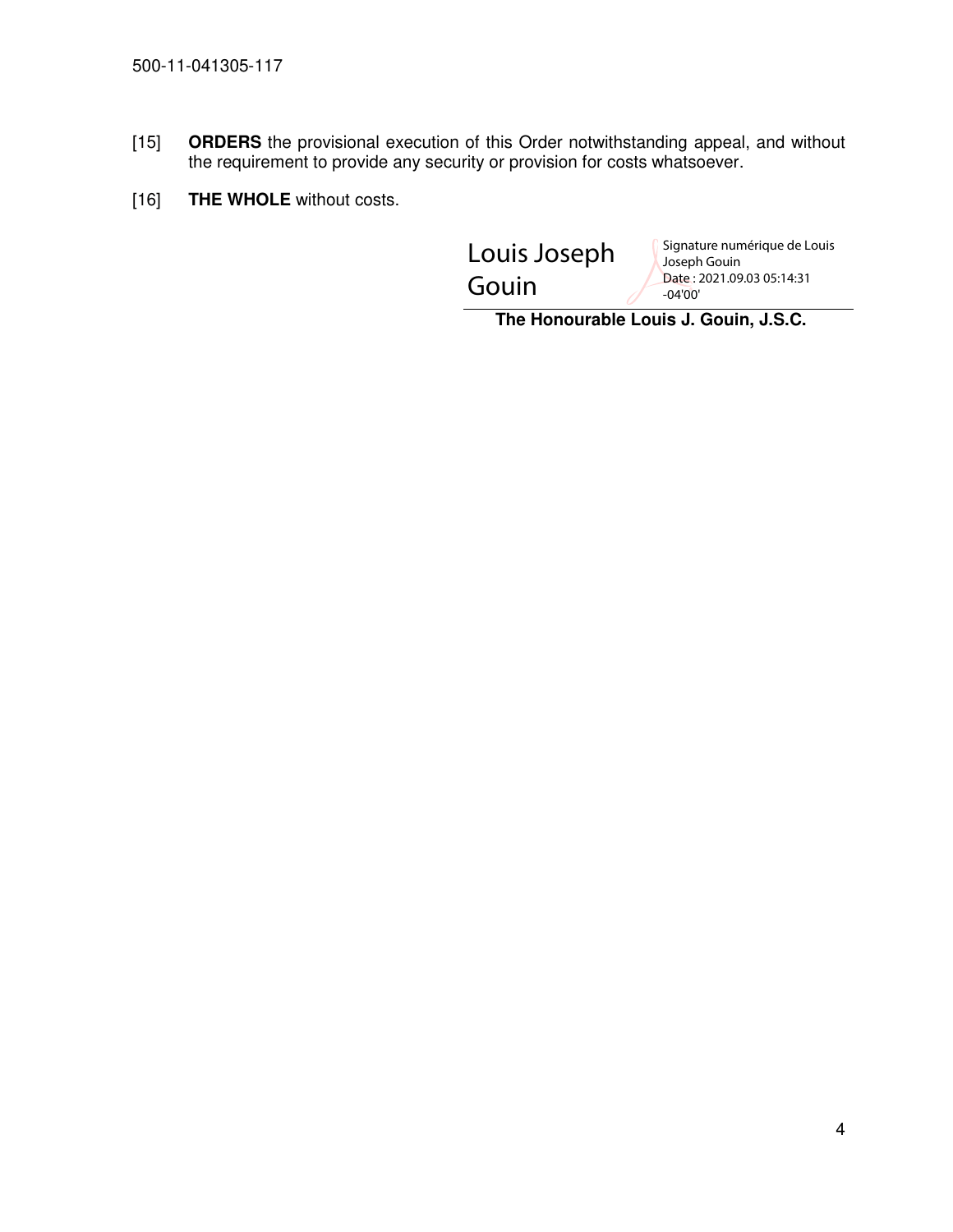- [15] **ORDERS** the provisional execution of this Order notwithstanding appeal, and without the requirement to provide any security or provision for costs whatsoever.
- [16] **THE WHOLE** without costs.

| Louis Joseph | Signature numérique de Louis<br>Joseph Gouin |
|--------------|----------------------------------------------|
| Gouin        | Date: 2021.09.03 05:14:31<br>$-04'00'$       |
|              |                                              |

 **The Honourable Louis J. Gouin, J.S.C.**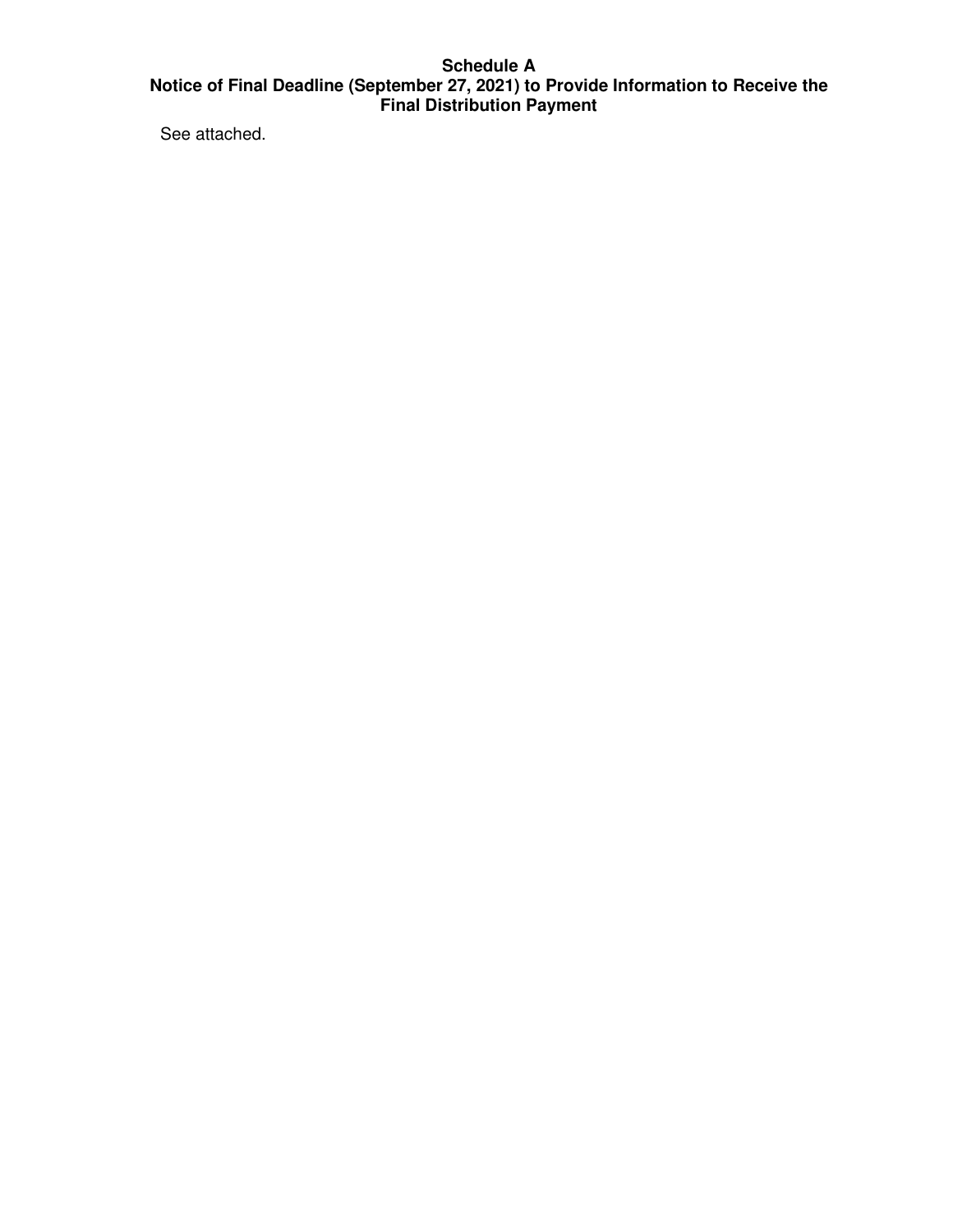## **Schedule A Notice of Final Deadline (September 27, 2021) to Provide Information to Receive the Final Distribution Payment**

See attached.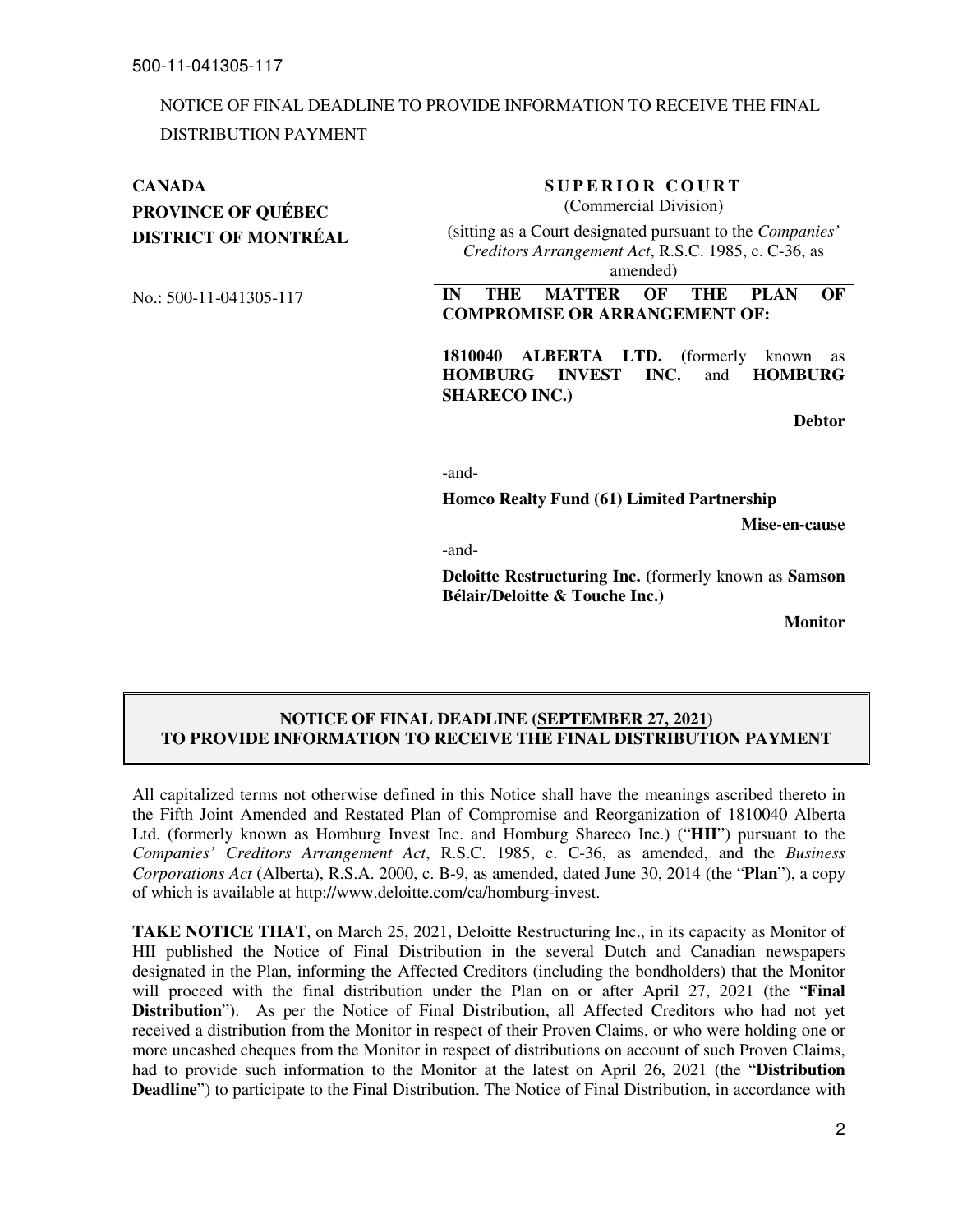# NOTICE OF FINAL DEADLINE TO PROVIDE INFORMATION TO RECEIVE THE FINAL DISTRIBUTION PAYMENT

# **PROVINCE OF QUÉBEC**

**DISTRICT OF MONTRÉAL** 

## **CANADA** SUPERIOR COURT

(Commercial Division)

(sitting as a Court designated pursuant to the *Companies' Creditors Arrangement Act*, R.S.C. 1985, c. C-36, as amended)

No.: 500-11-041305-117 **IN THE MATTER OF THE PLAN OF COMPROMISE OR ARRANGEMENT OF:** 

> **1810040 ALBERTA LTD. (**formerly known as **HOMBURG INVEST INC.** and **HOMBURG SHARECO INC.)**

> > **Debtor**

-and-

**Homco Realty Fund (61) Limited Partnership** 

**Mise-en-cause** 

-and-

**Deloitte Restructuring Inc. (**formerly known as **Samson Bélair/Deloitte & Touche Inc.)** 

**Monitor**

## **NOTICE OF FINAL DEADLINE (SEPTEMBER 27, 2021) TO PROVIDE INFORMATION TO RECEIVE THE FINAL DISTRIBUTION PAYMENT**

All capitalized terms not otherwise defined in this Notice shall have the meanings ascribed thereto in the Fifth Joint Amended and Restated Plan of Compromise and Reorganization of 1810040 Alberta Ltd. (formerly known as Homburg Invest Inc. and Homburg Shareco Inc.) ("**HII**") pursuant to the *Companies' Creditors Arrangement Act*, R.S.C. 1985, c. C-36, as amended, and the *Business Corporations Act* (Alberta), R.S.A. 2000, c. B-9, as amended, dated June 30, 2014 (the "**Plan**"), a copy of which is available at http://www.deloitte.com/ca/homburg-invest.

**TAKE NOTICE THAT**, on March 25, 2021, Deloitte Restructuring Inc., in its capacity as Monitor of HII published the Notice of Final Distribution in the several Dutch and Canadian newspapers designated in the Plan, informing the Affected Creditors (including the bondholders) that the Monitor will proceed with the final distribution under the Plan on or after April 27, 2021 (the "**Final Distribution**"). As per the Notice of Final Distribution, all Affected Creditors who had not yet received a distribution from the Monitor in respect of their Proven Claims, or who were holding one or more uncashed cheques from the Monitor in respect of distributions on account of such Proven Claims, had to provide such information to the Monitor at the latest on April 26, 2021 (the "**Distribution Deadline**") to participate to the Final Distribution. The Notice of Final Distribution, in accordance with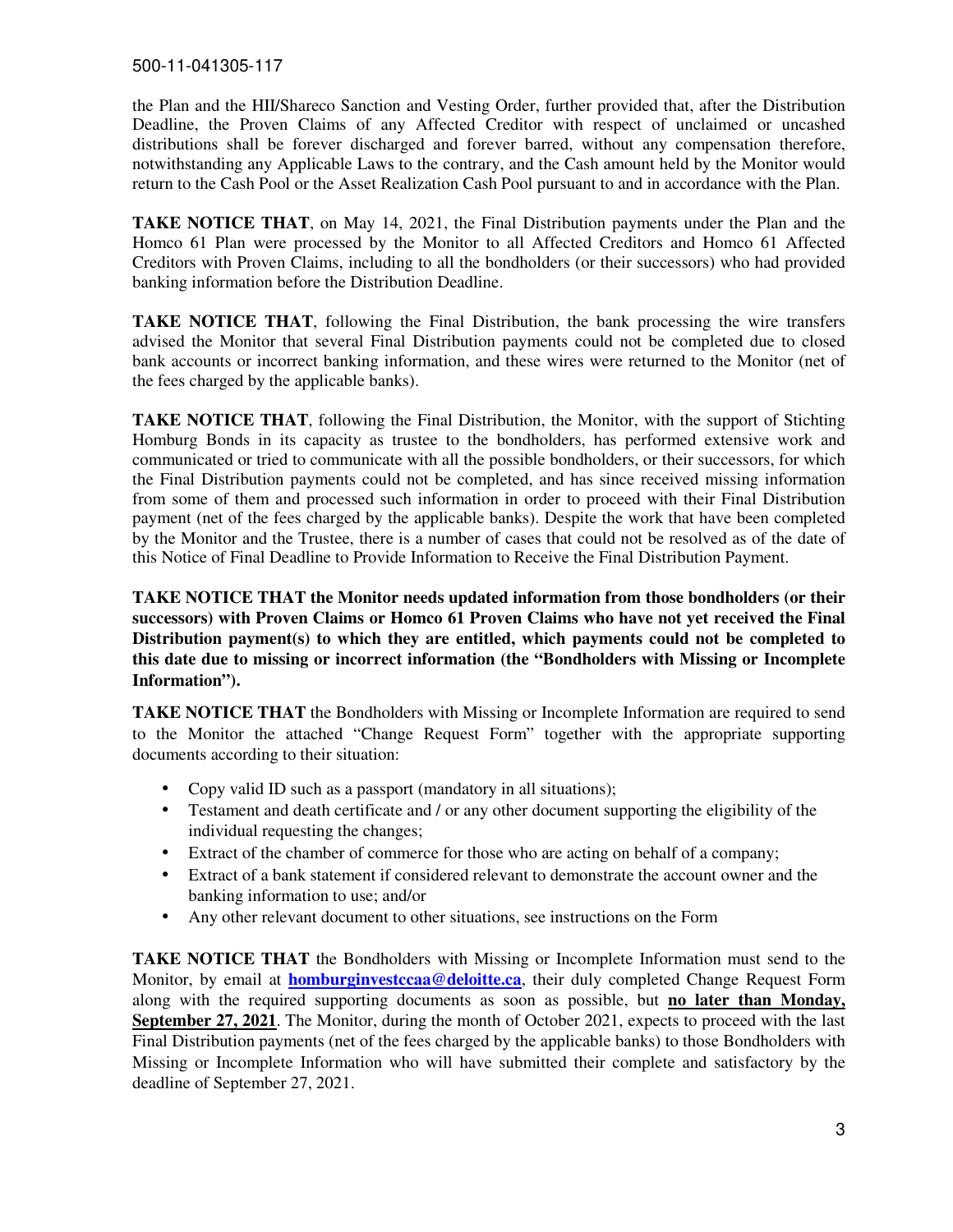the Plan and the HII/Shareco Sanction and Vesting Order, further provided that, after the Distribution Deadline, the Proven Claims of any Affected Creditor with respect of unclaimed or uncashed distributions shall be forever discharged and forever barred, without any compensation therefore, notwithstanding any Applicable Laws to the contrary, and the Cash amount held by the Monitor would return to the Cash Pool or the Asset Realization Cash Pool pursuant to and in accordance with the Plan.

**TAKE NOTICE THAT**, on May 14, 2021, the Final Distribution payments under the Plan and the Homco 61 Plan were processed by the Monitor to all Affected Creditors and Homco 61 Affected Creditors with Proven Claims, including to all the bondholders (or their successors) who had provided banking information before the Distribution Deadline.

**TAKE NOTICE THAT**, following the Final Distribution, the bank processing the wire transfers advised the Monitor that several Final Distribution payments could not be completed due to closed bank accounts or incorrect banking information, and these wires were returned to the Monitor (net of the fees charged by the applicable banks).

**TAKE NOTICE THAT**, following the Final Distribution, the Monitor, with the support of Stichting Homburg Bonds in its capacity as trustee to the bondholders, has performed extensive work and communicated or tried to communicate with all the possible bondholders, or their successors, for which the Final Distribution payments could not be completed, and has since received missing information from some of them and processed such information in order to proceed with their Final Distribution payment (net of the fees charged by the applicable banks). Despite the work that have been completed by the Monitor and the Trustee, there is a number of cases that could not be resolved as of the date of this Notice of Final Deadline to Provide Information to Receive the Final Distribution Payment.

**TAKE NOTICE THAT the Monitor needs updated information from those bondholders (or their successors) with Proven Claims or Homco 61 Proven Claims who have not yet received the Final Distribution payment(s) to which they are entitled, which payments could not be completed to this date due to missing or incorrect information (the "Bondholders with Missing or Incomplete Information").** 

**TAKE NOTICE THAT** the Bondholders with Missing or Incomplete Information are required to send to the Monitor the attached "Change Request Form" together with the appropriate supporting documents according to their situation:

- Copy valid ID such as a passport (mandatory in all situations);
- Testament and death certificate and / or any other document supporting the eligibility of the individual requesting the changes;
- Extract of the chamber of commerce for those who are acting on behalf of a company;
- Extract of a bank statement if considered relevant to demonstrate the account owner and the banking information to use; and/or
- Any other relevant document to other situations, see instructions on the Form

**TAKE NOTICE THAT** the Bondholders with Missing or Incomplete Information must send to the Monitor, by email at **homburginvestccaa@deloitte.ca**, their duly completed Change Request Form along with the required supporting documents as soon as possible, but **no later than Monday, September 27, 2021**. The Monitor, during the month of October 2021, expects to proceed with the last Final Distribution payments (net of the fees charged by the applicable banks) to those Bondholders with Missing or Incomplete Information who will have submitted their complete and satisfactory by the deadline of September 27, 2021.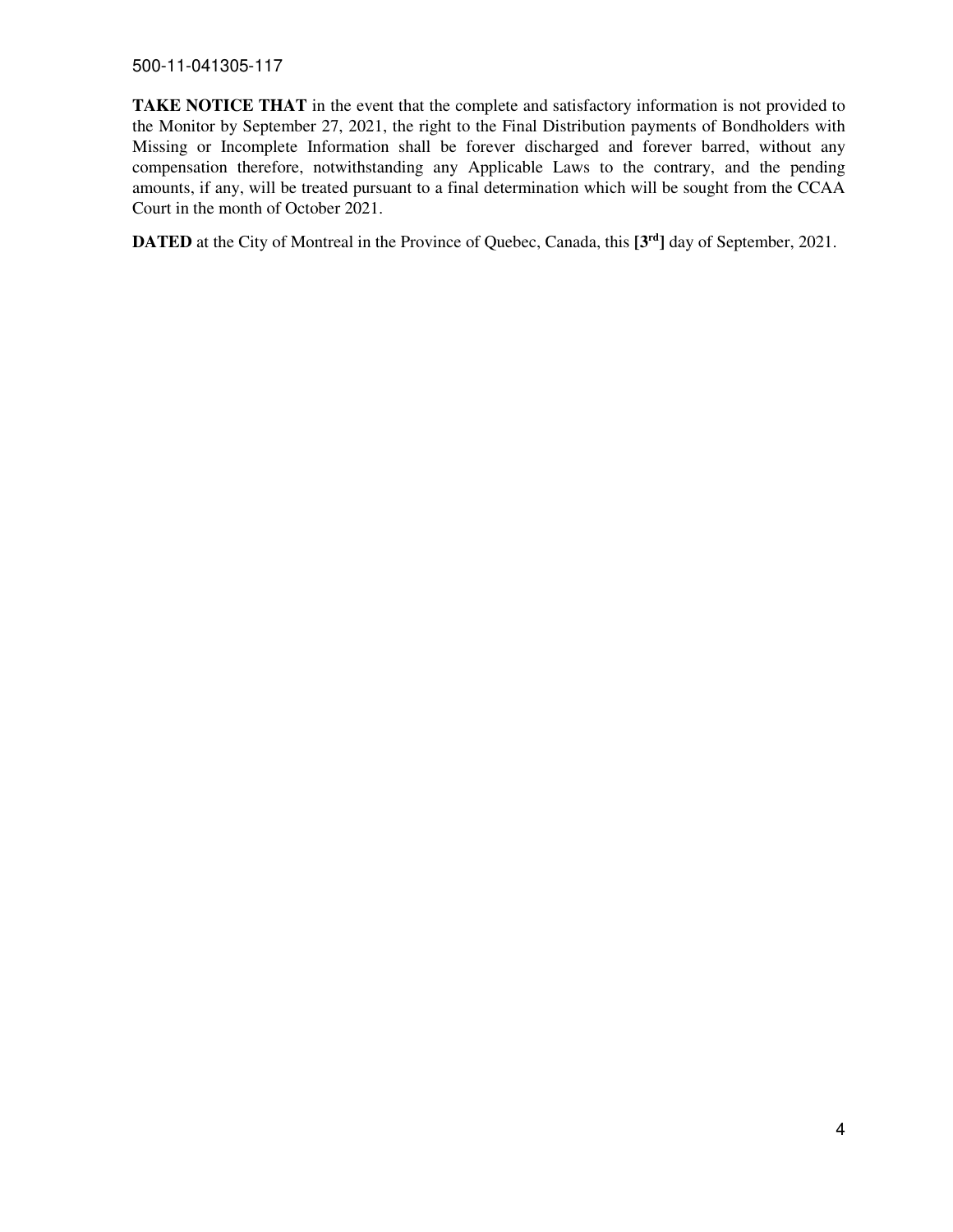500-11-041305-117

**TAKE NOTICE THAT** in the event that the complete and satisfactory information is not provided to the Monitor by September 27, 2021, the right to the Final Distribution payments of Bondholders with Missing or Incomplete Information shall be forever discharged and forever barred, without any compensation therefore, notwithstanding any Applicable Laws to the contrary, and the pending amounts, if any, will be treated pursuant to a final determination which will be sought from the CCAA Court in the month of October 2021.

**DATED** at the City of Montreal in the Province of Quebec, Canada, this **[3rd]** day of September, 2021.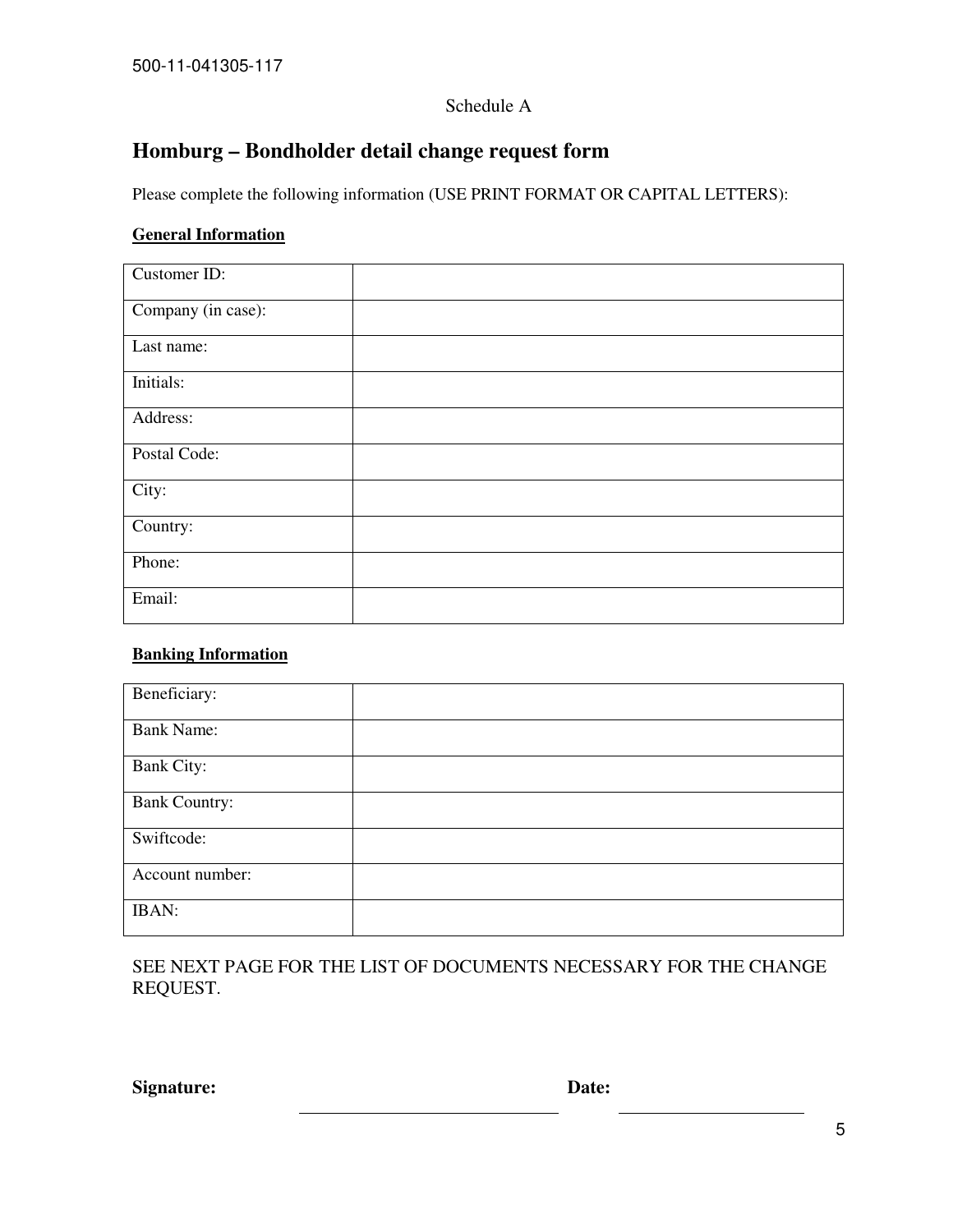## Schedule A

# **Homburg – Bondholder detail change request form**

Please complete the following information (USE PRINT FORMAT OR CAPITAL LETTERS):

# **General Information**

| Customer ID:       |  |
|--------------------|--|
| Company (in case): |  |
| Last name:         |  |
| Initials:          |  |
| Address:           |  |
| Postal Code:       |  |
| City:              |  |
| Country:           |  |
| Phone:             |  |
| Email:             |  |

# **Banking Information**

| Beneficiary:         |  |
|----------------------|--|
|                      |  |
|                      |  |
| <b>Bank Name:</b>    |  |
|                      |  |
|                      |  |
| <b>Bank City:</b>    |  |
|                      |  |
|                      |  |
| <b>Bank Country:</b> |  |
|                      |  |
|                      |  |
| Swiftcode:           |  |
|                      |  |
|                      |  |
| Account number:      |  |
|                      |  |
|                      |  |
| <b>IBAN:</b>         |  |
|                      |  |
|                      |  |

SEE NEXT PAGE FOR THE LIST OF DOCUMENTS NECESSARY FOR THE CHANGE REQUEST.

**Signature:** Date: